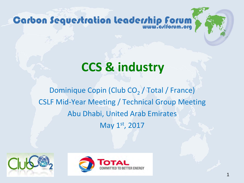## **CCS & industry**

Dominique Copin (Club CO<sub>2</sub> / Total / France) CSLF Mid-Year Meeting / Technical Group Meeting Abu Dhabi, United Arab Emirates May 1st, 2017



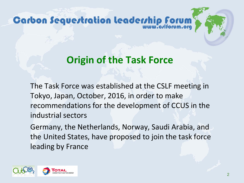### **Origin of the Task Force**

The Task Force was established at the CSLF meeting in Tokyo, Japan, October, 2016, in order to make recommendations for the development of CCUS in the industrial sectors

Germany, the Netherlands, Norway, Saudi Arabia, and the United States, have proposed to join the task force leading by France

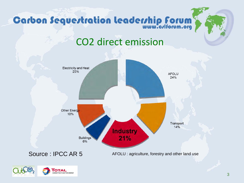

### CO2 direct emission



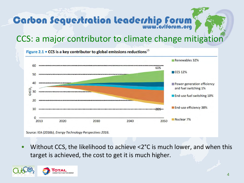### CCS: a major contributor to climate change mitigation

Figure 2.1  $\cdot$  CCS is a key contributor to global emissions reductions<sup>15</sup> Renewables 32% 60 6DS ■ CCS 12% 50 40 Power generation efficiency and fuel switching 1% GtCO<sub>2</sub> 30 End-use fuel switching 10% 20 End-use efficiency 38% 10  $\Omega$ Nuclear<sub>7%</sub> 2013 2020 2030 2040 2050

Source: IEA (2016b), Energy Technology Perspectives 2016.

• Without CCS, the likelihood to achieve <2°C is much lower, and when this target is achieved, the cost to get it is much higher.

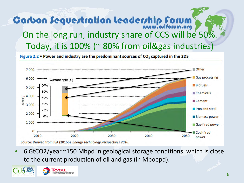### **Carbon Sequestration leadership forum** On the long run, industry share of CCS will be 50%. Today, it is 100% (~ 80% from oil&gas industries)

Figure 2.2 . Power and industry are the predominant sources of CO<sub>2</sub> captured in the 2DS



• 6 GtCO2/year ~150 Mbpd in geological storage conditions, which is close to the current production of oil and gas (in Mboepd).

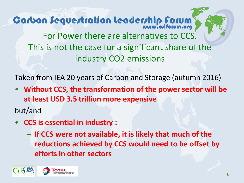**Carbon Sequestration leadership forum** For Power there are alternatives to CCS. This is not the case for a significant share of the industry CO2 emissions

Taken from IEA 20 years of Carbon and Storage (autumn 2016)

• **Without CCS, the transformation of the power sector will be at least USD 3.5 trillion more expensive**

but/and

- **CCS is essential in industry :**
	- **If CCS were not available, it is likely that much of the reductions achieved by CCS would need to be offset by efforts in other sectors**

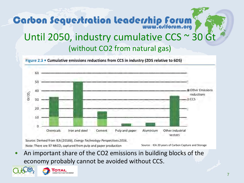## **Carbon Sequestration leadership forum** Until 2050, industry cumulative CCS ~ 30 Gt (without CO2 from natural gas)



Source: Derived from IEA (2016b), Energy Technology Perspectives 2016. Note: There are 97 MtCO<sub>2</sub> captured from pulp and paper production

Source : IEA 20 years of Carbon Capture and Storage

• An important share of the CO2 emissions in building blocks of the economy probably cannot be avoided without CCS.

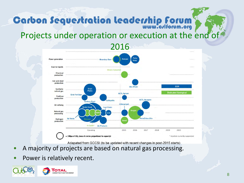#### Projects under operation or execution at the end of



Adapated from GCCSI (to be updated with recent changes in post-2015 starts)

- A majority of projects are based on natural gas processing.
- Power is relatively recent.

Ω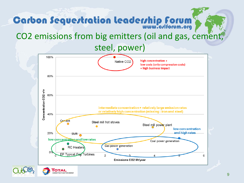#### CO2 emissions from big emitters (oil and gas, cement,

steel, power)





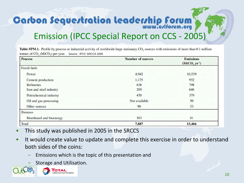### Emission (IPCC Special Report on CCS - 2005)

Table SPM.1. Profile by process or industrial activity of worldwide large stationary CO, sources with emissions of more than 0.1 million tonnes of CO, (MtCO,) per year. Source : IPCC SRCCS 2005

| <b>Process</b>                  | <b>Number of sources</b> | <b>Emissions</b>         |  |
|---------------------------------|--------------------------|--------------------------|--|
| <b>Fossil</b> fuels             |                          | (MtCO, yr <sup>1</sup> ) |  |
| Power                           | 4,942                    | 10,539                   |  |
| Cement production               | 1,175                    | 932                      |  |
| <b>Refineries</b>               | 638                      | 798<br>646<br>379<br>50  |  |
| Iron and steel industry         | 269                      |                          |  |
| Petrochemical industry          | 470                      |                          |  |
| Oil and gas processing          | Not available            |                          |  |
| Other sources                   | 90                       | 33                       |  |
| <b>Biomass</b>                  |                          |                          |  |
| <b>Bioethanol</b> and bioenergy | 303                      | 91                       |  |
| Total                           | 7,887                    | 13,466                   |  |

- This study was published in 2005 in the SRCCS
- It would create value to update and complete this exercise in order to understand both sides of the coins:
	- Emissions which is the topic of this presentation and
	- Storage and Utilisation.

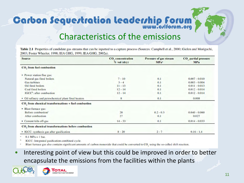### Characteristics of the emissions

Table 2.1 Properties of candidate gas streams that can be inputted to a capture process (Sources: Campbell et al., 2000; Gielen and Moriguchi, 2003; Foster Wheeler, 1998; IEA GHG, 1999; IEA GHG, 2002a).

| <b>Source</b>                                        | <b>CO</b> , concentration<br><b>Pressure of gas stream</b><br>$%$ vol $(dry)$<br>MPa <sup>2</sup> |             | CO <sub>,</sub> partial pressure<br><b>MPa</b> |  |
|------------------------------------------------------|---------------------------------------------------------------------------------------------------|-------------|------------------------------------------------|--|
| <b>CO</b> , from fuel combustion                     |                                                                                                   |             |                                                |  |
| • Power station flue gas:                            |                                                                                                   |             |                                                |  |
| Natural gas fired boilers                            | $7 - 10$                                                                                          | 0.1         |                                                |  |
| <b>Gas turbines</b>                                  | $3 - 4$<br>0.1                                                                                    |             | $0.003 - 0.004$                                |  |
| Oil fired boilers                                    | $11 - 13$                                                                                         | 0.1         | $0.011 - 0.013$                                |  |
| Coal fired boilers                                   | $12 - 14$                                                                                         | 0.1         | $0.012 - 0.014$                                |  |
| IGCC <sup>®</sup> : after combustion                 | $12 - 14$                                                                                         | 0.1         | $0.012 - 0.014$                                |  |
| • Oil refinery and petrochemical plant fired heaters | 8<br>0.1                                                                                          |             | 0.008                                          |  |
| CO, from chemical transformations + fuel combustion  |                                                                                                   |             |                                                |  |
| • Blast furnace gas:                                 |                                                                                                   |             |                                                |  |
| Before combustion <sup>®</sup>                       | 20                                                                                                | $0.2 - 0.3$ | $0.040 - 0.060$                                |  |
| After combustion                                     | 27                                                                                                | 0.1         | 0.027                                          |  |
| • Cement kiln off-gas                                | $14 - 33$<br>0.1                                                                                  |             | $0.014 - 0.033$                                |  |
| CO, from chemical transformations before combustion  |                                                                                                   |             |                                                |  |
| • IGCC: synthesis gas after gasification             | $8 - 20$                                                                                          | $2 - 7$     | $0.16 - 1.4$                                   |  |
| A SAM A SALE                                         |                                                                                                   |             |                                                |  |

 $0.1 \text{ MPa} = 1 \text{ bar.}$ 

IGCC: Integrated gasification combined cycle.

Blast furnace gas also contains significant amounts of carbon monoxide that could be converted to CO, using the so-called shift reaction.

Interesting point of view but this could be improved in order to better encapsulate the emissions from the facilities within the plants



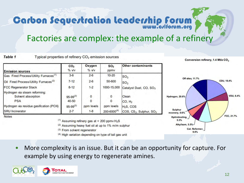#### Factories are complex: the example of a refinery

**Table 1** Typical properties of refinery CO<sub>2</sub> emission sources

| <b>Emission sources</b>                                           | CO <sub>2</sub><br>$%$ v/v | Oxygen<br>$%$ $V$     | SO <sub>2</sub><br>ppmy          | <b>Other contaminants</b>                                                |
|-------------------------------------------------------------------|----------------------------|-----------------------|----------------------------------|--------------------------------------------------------------------------|
| Gas Fired Process/Utility Furnaces <sup>(1)</sup>                 | $3-6$                      | $2 - 6$               | $10 - 20$                        | SO <sub>3</sub>                                                          |
| Oil Fired Process/Utility Furnaces <sup>(2)</sup>                 | $7 - 12$                   | $2 - 6$               | 50-600                           | SO <sub>3</sub>                                                          |
| <b>FCC Regenerator Stack</b>                                      | $8 - 12$                   | $1 - 2$               | 1000-15,000                      | Catalyst Dust, CO, SO <sub>3</sub>                                       |
| Hydrogen via steam reforming:<br>Solvent absorption<br><b>PSA</b> | $95-99^{(3)}$<br>40-50     | 0                     | $\Omega$                         | Clean<br>CO, H <sub>2</sub>                                              |
| Hydrogen via residue gasification (POX)<br><b>SRU</b> Incinerator | $95-99^{(3)}$<br>$2 - 7$   | ppm levels<br>$1 - 8$ | ppm levels<br>$200 - 6000^{(4)}$ | H <sub>2</sub> S, COS<br>COS, CS <sub>2</sub> , Sulphur, SO <sub>3</sub> |

**Notes** 

- $(1)$  Assuming refinery gas at < 200 ppmv  $H_2S$
- (2) Assuming heavy fuel oil at up to 1% m/m sulphur
- (3) From solvent regenerator
- (4) High variation depending on type of tail gas unit



Conversion refinery, 1.4 Mt/a CO<sub>2</sub>

More complexity is an issue. But it can be an opportunity for capture. For example by using energy to regenerate amines.

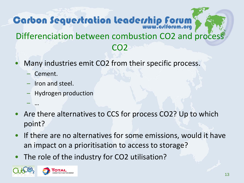### Carbon Sequestration leadership forum Differenciation between combustion CO2 and process CO2

- Many industries emit CO2 from their specific process.
	- Cement.

– …

- Iron and steel.
- Hydrogen production
- Are there alternatives to CCS for process CO2? Up to which point?
- If there are no alternatives for some emissions, would it have an impact on a prioritisation to access to storage?
- The role of the industry for CO2 utilisation?

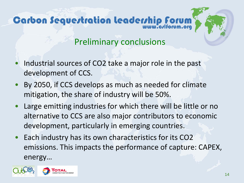### Preliminary conclusions

- Industrial sources of CO2 take a major role in the past development of CCS.
- By 2050, if CCS develops as much as needed for climate mitigation, the share of industry will be 50%.
- Large emitting industries for which there will be little or no alternative to CCS are also major contributors to economic development, particularly in emerging countries.
- Each industry has its own characteristics for its CO2 emissions. This impacts the performance of capture: CAPEX, energy…